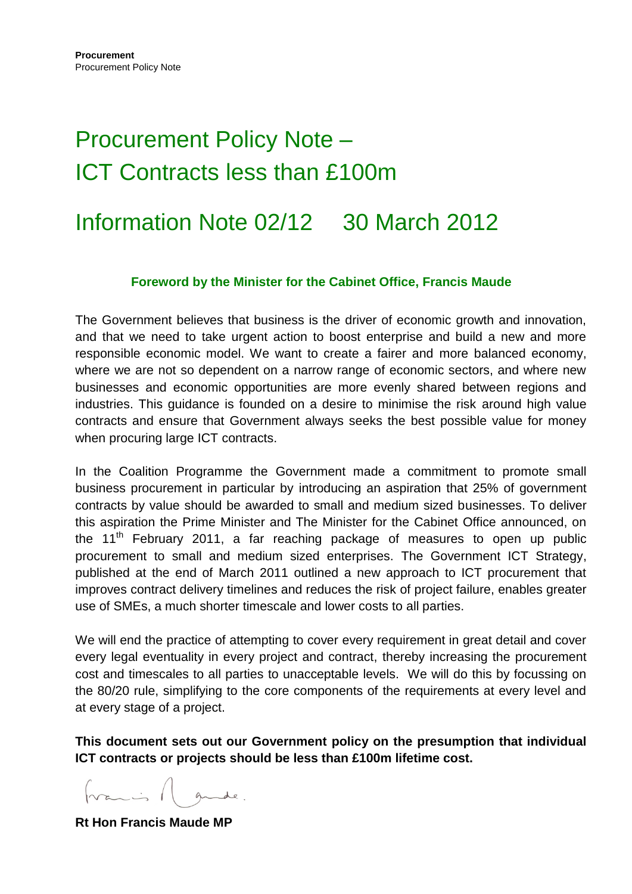# Procurement Policy Note – ICT Contracts less than £100m

# Information Note 02/12 30 March 2012

#### **Foreword by the Minister for the Cabinet Office, Francis Maude**

The Government believes that business is the driver of economic growth and innovation, and that we need to take urgent action to boost enterprise and build a new and more responsible economic model. We want to create a fairer and more balanced economy, where we are not so dependent on a narrow range of economic sectors, and where new businesses and economic opportunities are more evenly shared between regions and industries. This guidance is founded on a desire to minimise the risk around high value contracts and ensure that Government always seeks the best possible value for money when procuring large ICT contracts.

In the Coalition Programme the Government made a commitment to promote small business procurement in particular by introducing an aspiration that 25% of government contracts by value should be awarded to small and medium sized businesses. To deliver this aspiration the Prime Minister and The Minister for the Cabinet Office announced, on the 11<sup>th</sup> February 2011, a far reaching package of measures to open up public procurement to small and medium sized enterprises. The Government ICT Strategy, published at the end of March 2011 outlined a new approach to ICT procurement that improves contract delivery timelines and reduces the risk of project failure, enables greater use of SMEs, a much shorter timescale and lower costs to all parties.

We will end the practice of attempting to cover every requirement in great detail and cover every legal eventuality in every project and contract, thereby increasing the procurement cost and timescales to all parties to unacceptable levels. We will do this by focussing on the 80/20 rule, simplifying to the core components of the requirements at every level and at every stage of a project.

**This document sets out our Government policy on the presumption that individual ICT contracts or projects should be less than £100m lifetime cost.** 

**Rt Hon Francis Maude MP**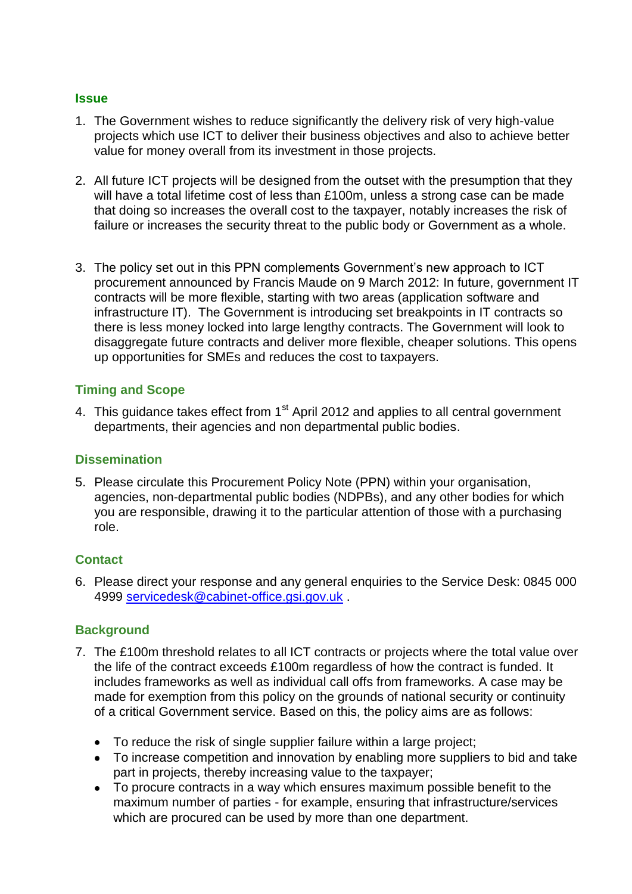#### **Issue**

- 1. The Government wishes to reduce significantly the delivery risk of very high-value projects which use ICT to deliver their business objectives and also to achieve better value for money overall from its investment in those projects.
- 2. All future ICT projects will be designed from the outset with the presumption that they will have a total lifetime cost of less than £100m, unless a strong case can be made that doing so increases the overall cost to the taxpayer, notably increases the risk of failure or increases the security threat to the public body or Government as a whole.
- 3. The policy set out in this PPN complements Government's new approach to ICT procurement announced by Francis Maude on 9 March 2012: In future, government IT contracts will be more flexible, starting with two areas (application software and infrastructure IT). The Government is introducing set breakpoints in IT contracts so there is less money locked into large lengthy contracts. The Government will look to disaggregate future contracts and deliver more flexible, cheaper solutions. This opens up opportunities for SMEs and reduces the cost to taxpayers.

#### **Timing and Scope**

4. This guidance takes effect from 1<sup>st</sup> April 2012 and applies to all central government departments, their agencies and non departmental public bodies.

#### **Dissemination**

5. Please circulate this Procurement Policy Note (PPN) within your organisation, agencies, non-departmental public bodies (NDPBs), and any other bodies for which you are responsible, drawing it to the particular attention of those with a purchasing role.

#### **Contact**

6. Please direct your response and any general enquiries to the Service Desk: 0845 000 4999 [servicedesk@cabinet-office.gsi.gov.uk](mailto:servicedesk@cabinet-office.gsi.gov.uk) .

#### **Background**

- 7. The £100m threshold relates to all ICT contracts or projects where the total value over the life of the contract exceeds £100m regardless of how the contract is funded. It includes frameworks as well as individual call offs from frameworks. A case may be made for exemption from this policy on the grounds of national security or continuity of a critical Government service. Based on this, the policy aims are as follows:
	- To reduce the risk of single supplier failure within a large project;
	- To increase competition and innovation by enabling more suppliers to bid and take part in projects, thereby increasing value to the taxpayer;
	- To procure contracts in a way which ensures maximum possible benefit to the maximum number of parties - for example, ensuring that infrastructure/services which are procured can be used by more than one department.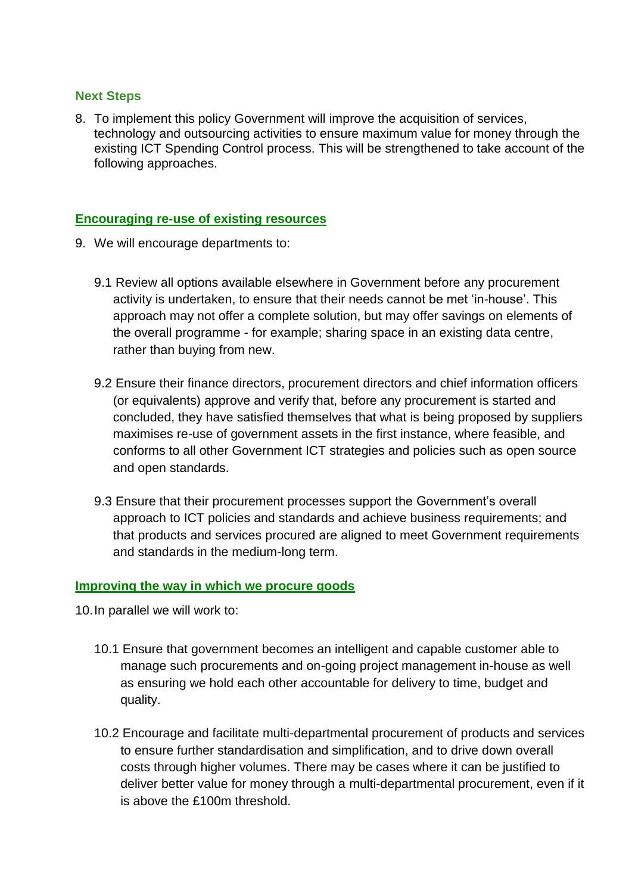#### **Next Steps**

8. To implement this policy Government will improve the acquisition of services, technology and outsourcing activities to ensure maximum value for money through the existing ICT Spending Control process. This will be strengthened to take account of the following approaches.

#### **Encouraging re-use of existing resources**

- 9. We will encourage departments to:
	- 9.1 Review all options available elsewhere in Government before any procurement activity is undertaken, to ensure that their needs cannot be met 'in-house'. This approach may not offer a complete solution, but may offer savings on elements of the overall programme - for example; sharing space in an existing data centre, rather than buying from new.
	- 9.2 Ensure their finance directors, procurement directors and chief information officers (or equivalents) approve and verify that, before any procurement is started and concluded, they have satisfied themselves that what is being proposed by suppliers maximises re-use of government assets in the first instance, where feasible, and conforms to all other Government ICT strategies and policies such as open source and open standards.
	- 9.3 Ensure that their procurement processes support the Government's overall approach to ICT policies and standards and achieve business requirements; and that products and services procured are aligned to meet Government requirements and standards in the medium-long term.

#### **Improving the way in which we procure goods**

10.In parallel we will work to:

- 10.1 Ensure that government becomes an intelligent and capable customer able to manage such procurements and on-going project management in-house as well as ensuring we hold each other accountable for delivery to time, budget and quality.
- 10.2 Encourage and facilitate multi-departmental procurement of products and services to ensure further standardisation and simplification, and to drive down overall costs through higher volumes. There may be cases where it can be justified to deliver better value for money through a multi-departmental procurement, even if it is above the £100m threshold.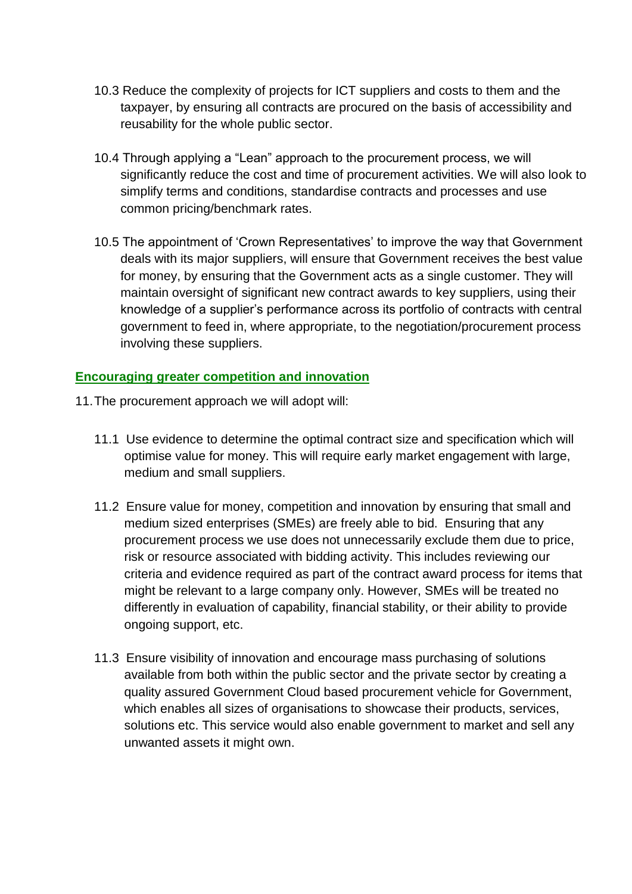- 10.3 Reduce the complexity of projects for ICT suppliers and costs to them and the taxpayer, by ensuring all contracts are procured on the basis of accessibility and reusability for the whole public sector.
- 10.4 Through applying a "Lean" approach to the procurement process, we will significantly reduce the cost and time of procurement activities. We will also look to simplify terms and conditions, standardise contracts and processes and use common pricing/benchmark rates.
- 10.5 The appointment of 'Crown Representatives' to improve the way that Government deals with its major suppliers, will ensure that Government receives the best value for money, by ensuring that the Government acts as a single customer. They will maintain oversight of significant new contract awards to key suppliers, using their knowledge of a supplier's performance across its portfolio of contracts with central government to feed in, where appropriate, to the negotiation/procurement process involving these suppliers.

### **Encouraging greater competition and innovation**

- 11.The procurement approach we will adopt will:
	- 11.1 Use evidence to determine the optimal contract size and specification which will optimise value for money. This will require early market engagement with large, medium and small suppliers.
	- 11.2 Ensure value for money, competition and innovation by ensuring that small and medium sized enterprises (SMEs) are freely able to bid. Ensuring that any procurement process we use does not unnecessarily exclude them due to price, risk or resource associated with bidding activity. This includes reviewing our criteria and evidence required as part of the contract award process for items that might be relevant to a large company only. However, SMEs will be treated no differently in evaluation of capability, financial stability, or their ability to provide ongoing support, etc.
	- 11.3 Ensure visibility of innovation and encourage mass purchasing of solutions available from both within the public sector and the private sector by creating a quality assured Government Cloud based procurement vehicle for Government, which enables all sizes of organisations to showcase their products, services, solutions etc. This service would also enable government to market and sell any unwanted assets it might own.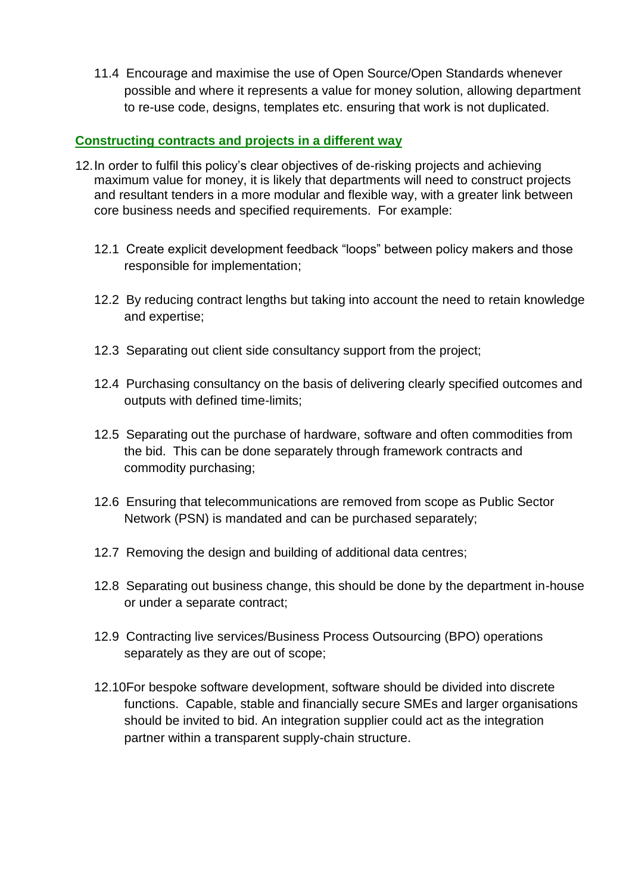11.4 Encourage and maximise the use of Open Source/Open Standards whenever possible and where it represents a value for money solution, allowing department to re-use code, designs, templates etc. ensuring that work is not duplicated.

#### **Constructing contracts and projects in a different way**

- 12.In order to fulfil this policy's clear objectives of de-risking projects and achieving maximum value for money, it is likely that departments will need to construct projects and resultant tenders in a more modular and flexible way, with a greater link between core business needs and specified requirements. For example:
	- 12.1 Create explicit development feedback "loops" between policy makers and those responsible for implementation;
	- 12.2 By reducing contract lengths but taking into account the need to retain knowledge and expertise;
	- 12.3 Separating out client side consultancy support from the project;
	- 12.4 Purchasing consultancy on the basis of delivering clearly specified outcomes and outputs with defined time-limits;
	- 12.5 Separating out the purchase of hardware, software and often commodities from the bid. This can be done separately through framework contracts and commodity purchasing;
	- 12.6 Ensuring that telecommunications are removed from scope as Public Sector Network (PSN) is mandated and can be purchased separately;
	- 12.7 Removing the design and building of additional data centres;
	- 12.8 Separating out business change, this should be done by the department in-house or under a separate contract;
	- 12.9 Contracting live services/Business Process Outsourcing (BPO) operations separately as they are out of scope;
	- 12.10For bespoke software development, software should be divided into discrete functions. Capable, stable and financially secure SMEs and larger organisations should be invited to bid. An integration supplier could act as the integration partner within a transparent supply-chain structure.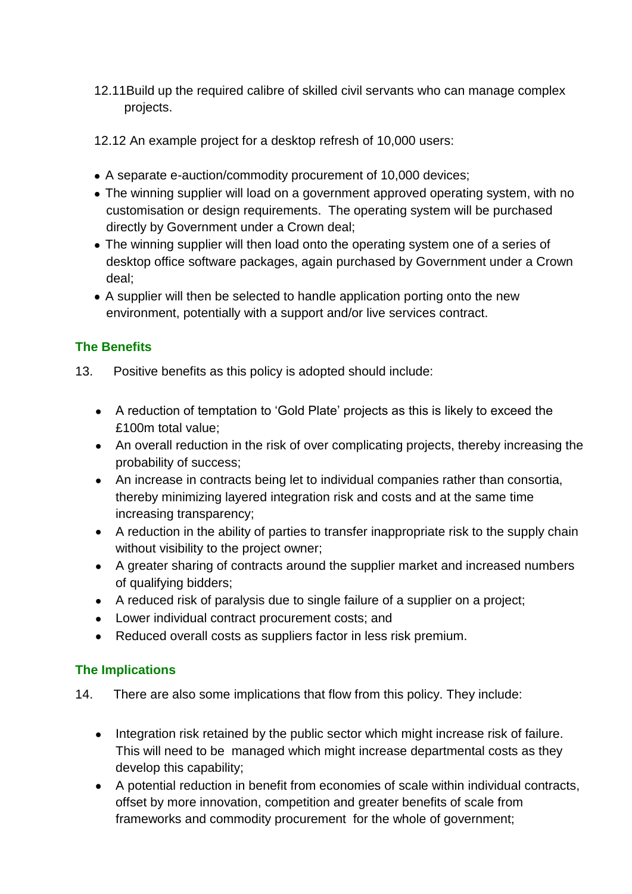- 12.11Build up the required calibre of skilled civil servants who can manage complex projects.
- 12.12 An example project for a desktop refresh of 10,000 users:
- A separate e-auction/commodity procurement of 10,000 devices;
- The winning supplier will load on a government approved operating system, with no customisation or design requirements. The operating system will be purchased directly by Government under a Crown deal;
- The winning supplier will then load onto the operating system one of a series of desktop office software packages, again purchased by Government under a Crown deal;
- A supplier will then be selected to handle application porting onto the new environment, potentially with a support and/or live services contract.

# **The Benefits**

- 13. Positive benefits as this policy is adopted should include:
	- A reduction of temptation to 'Gold Plate' projects as this is likely to exceed the £100m total value;
	- An overall reduction in the risk of over complicating projects, thereby increasing the probability of success;
	- An increase in contracts being let to individual companies rather than consortia, thereby minimizing layered integration risk and costs and at the same time increasing transparency;
	- A reduction in the ability of parties to transfer inappropriate risk to the supply chain without visibility to the project owner;
	- A greater sharing of contracts around the supplier market and increased numbers of qualifying bidders;
	- A reduced risk of paralysis due to single failure of a supplier on a project;
	- Lower individual contract procurement costs; and
	- Reduced overall costs as suppliers factor in less risk premium.

# **The Implications**

- 14. There are also some implications that flow from this policy. They include:
	- Integration risk retained by the public sector which might increase risk of failure. This will need to be managed which might increase departmental costs as they develop this capability;
	- A potential reduction in benefit from economies of scale within individual contracts, offset by more innovation, competition and greater benefits of scale from frameworks and commodity procurement for the whole of government;